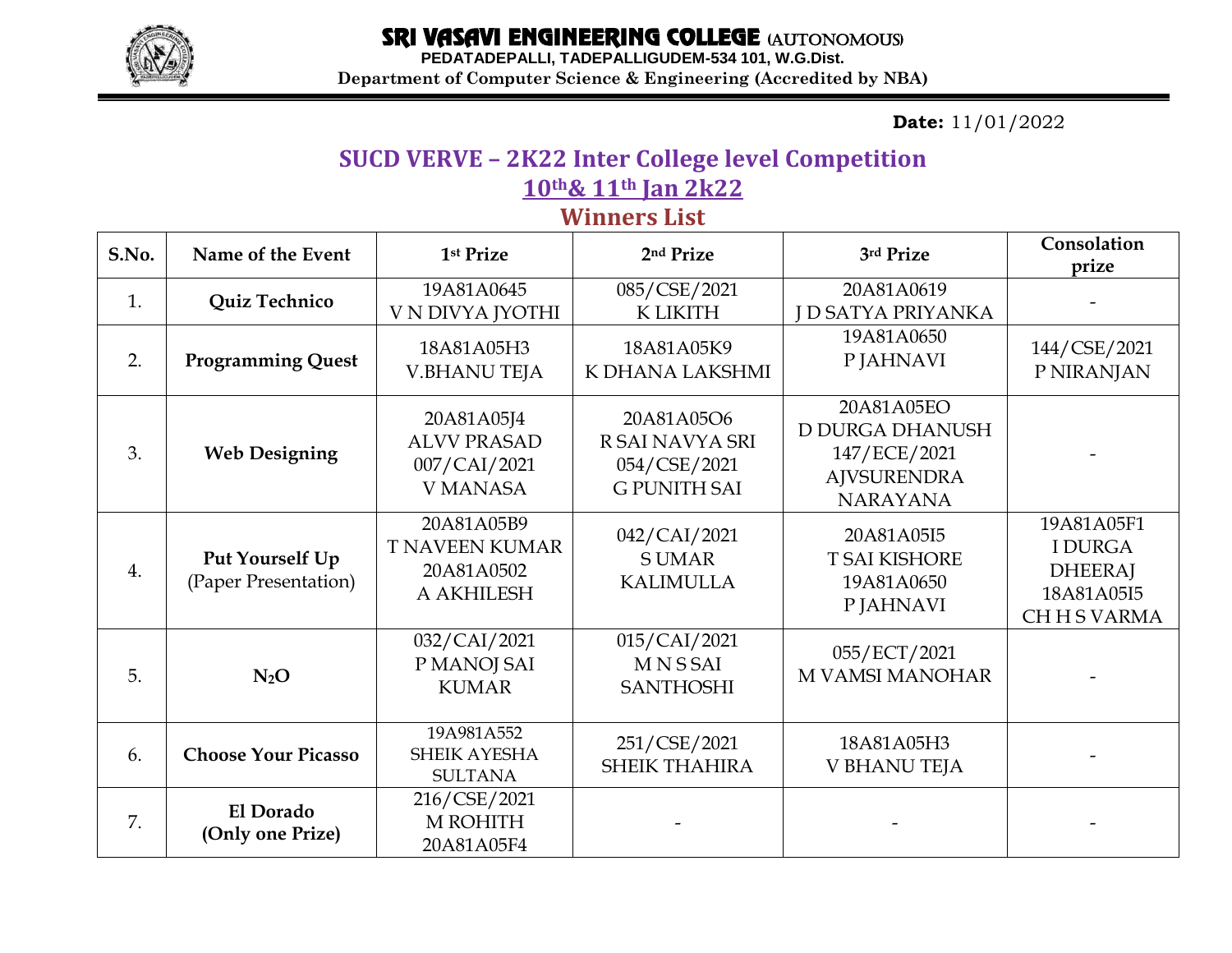

## SRI VASAVI ENGINEERING COLLEGE (AUTONOMOUS)

**PEDATADEPALLI, TADEPALLIGUDEM-534 101, W.G.Dist. Department of Computer Science & Engineering (Accredited by NBA)**

**Date:** 11/01/2022

## **SUCD VERVE – 2K22 Inter College level Competition 10th& 11th Jan 2k22**

## **Winners List**

| S.No.            | Name of the Event                       | 1 <sup>st</sup> Prize                                                  | 2 <sup>nd</sup> Prize                                                | 3rd Prize                                                                                     | Consolation<br>prize                                                         |
|------------------|-----------------------------------------|------------------------------------------------------------------------|----------------------------------------------------------------------|-----------------------------------------------------------------------------------------------|------------------------------------------------------------------------------|
| 1.               | Quiz Technico                           | 19A81A0645<br>V N DIVYA JYOTHI                                         | 085/CSE/2021<br><b>KLIKITH</b>                                       | 20A81A0619<br><b>J D SATYA PRIYANKA</b>                                                       |                                                                              |
| 2.               | <b>Programming Quest</b>                | 18A81A05H3<br><b>V.BHANU TEJA</b>                                      | 18A81A05K9<br>K DHANA LAKSHMI                                        | 19A81A0650<br>P JAHNAVI                                                                       | 144/CSE/2021<br>P NIRANJAN                                                   |
| 3.               | <b>Web Designing</b>                    | 20A81A05J4<br><b>ALVV PRASAD</b><br>007/CAI/2021<br><b>V MANASA</b>    | 20A81A05O6<br>R SAI NAVYA SRI<br>054/CSE/2021<br><b>G PUNITH SAI</b> | 20A81A05EO<br><b>D DURGA DHANUSH</b><br>147/ECE/2021<br><b>AJVSURENDRA</b><br><b>NARAYANA</b> |                                                                              |
| $\overline{4}$ . | Put Yourself Up<br>(Paper Presentation) | 20A81A05B9<br><b>T NAVEEN KUMAR</b><br>20A81A0502<br><b>A AKHILESH</b> | 042/CAI/2021<br><b>SUMAR</b><br><b>KALIMULLA</b>                     | 20A81A05I5<br><b>T SAI KISHORE</b><br>19A81A0650<br>P JAHNAVI                                 | 19A81A05F1<br><b>I DURGA</b><br><b>DHEERAJ</b><br>18A81A05I5<br>CH H S VARMA |
| 5.               | N <sub>2</sub> O                        | 032/CAI/2021<br>P MANOJ SAI<br><b>KUMAR</b>                            | 015/CAI/2021<br><b>MNSSAI</b><br><b>SANTHOSHI</b>                    | 055/ECT/2021<br><b>M VAMSI MANOHAR</b>                                                        |                                                                              |
| 6.               | <b>Choose Your Picasso</b>              | 19A981A552<br><b>SHEIK AYESHA</b><br><b>SULTANA</b>                    | 251/CSE/2021<br><b>SHEIK THAHIRA</b>                                 | 18A81A05H3<br><b>V BHANU TEJA</b>                                                             |                                                                              |
| 7.               | El Dorado<br>(Only one Prize)           | 216/CSE/2021<br><b>M ROHITH</b><br>20A81A05F4                          |                                                                      |                                                                                               |                                                                              |